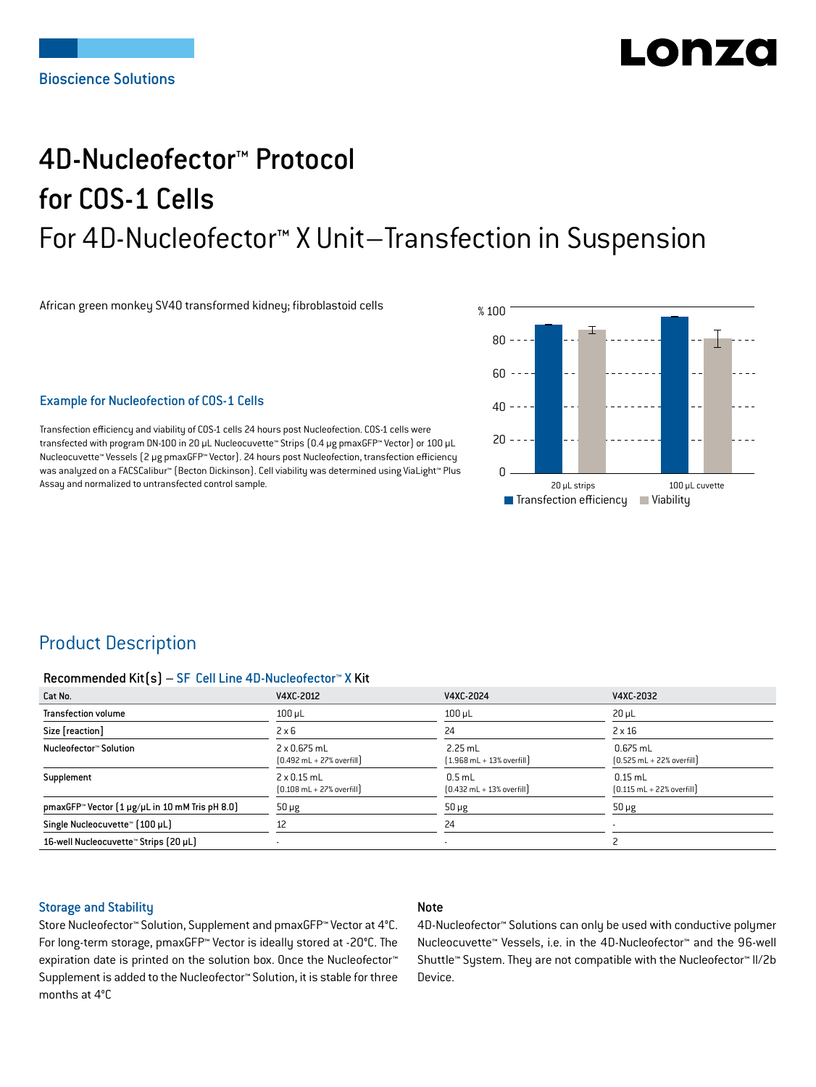# LO N740

# 4D-Nucleofector™ Protocol for COS-1 Cells For 4D-Nucleofector™ X Unit–Transfection in Suspension

African green monkey SV40 transformed kidney; fibroblastoid cells

Example for Nucleofection of COS-1 Cells

Transfection efficiency and viability of COS-1 cells 24 hours post Nucleofection. COS-1 cells were transfected with program DN-100 in 20 μL Nucleocuvette™ Strips (0.4 μg pmaxGFP™ Vector) or 100 μL Nucleocuvette™ Vessels (2 μg pmaxGFP™ Vector). 24 hours post Nucleofection, transfection efficiency was analyzed on a FACSCalibur<sup>™</sup> (Becton Dickinson). Cell viability was determined using ViaLight™ Plus Assay and normalized to untransfected control sample.



# Product Description

#### Recommended Kit(s) – SF Cell Line 4D-Nucleofector™ X Kit

| Cat No.                                                    | V4XC-2012                                                          | V4XC-2024                                                 | V4XC-2032                                                  |
|------------------------------------------------------------|--------------------------------------------------------------------|-----------------------------------------------------------|------------------------------------------------------------|
| <b>Transfection volume</b>                                 | $100 \mu L$                                                        | $100$ $\mu$ L                                             | $20 \mu L$                                                 |
| Size [reaction]                                            | $2 \times 6$                                                       | 24                                                        | $2 \times 16$                                              |
| Nucleofector™ Solution                                     | 2 x 0.675 mL<br>$[0.492 \text{ mL} + 27\% \text{ overfill}]$       | $2.25$ mL<br>$[1.968 \text{ mL} + 13\% \text{ overfill}]$ | $0.675$ mL<br>$[0.525 \text{ mL} + 22\% \text{ overfill}]$ |
| Supplement                                                 | $2 \times 0.15$ mL<br>$[0.108 \text{ mL} + 27\% \text{ overfill}]$ | $0.5$ mL<br>$[0.432 \text{ mL} + 13\% \text{ overfill}]$  | $0.15$ mL<br>$[0.115 \text{ mL} + 22\% \text{ overfill}]$  |
| pmaxGFP <sup>™</sup> Vector [1 µg/µL in 10 mM Tris pH 8.0] | $50 \mu g$                                                         | $50 \mu g$                                                | $50 \mu g$                                                 |
| Single Nucleocuvette™ (100 µL)                             | 12                                                                 | 24                                                        |                                                            |
| 16-well Nucleocuvette™ Strips (20 µL)                      |                                                                    | $\overline{\phantom{a}}$                                  |                                                            |

### Storage and Stability

### Note

Store Nucleofector™ Solution, Supplement and pmaxGFP™ Vector at 4°C. For long-term storage, pmaxGFP™ Vector is ideally stored at -20°C. The expiration date is printed on the solution box. Once the Nucleofector™ Supplement is added to the Nucleofector™ Solution, it is stable for three months at 4°C

4D-Nucleofector™ Solutions can only be used with conductive polymer Nucleocuvette™ Vessels, i.e. in the 4D-Nucleofector™ and the 96-well Shuttle™ System. They are not compatible with the Nucleofector™ II/2b Device.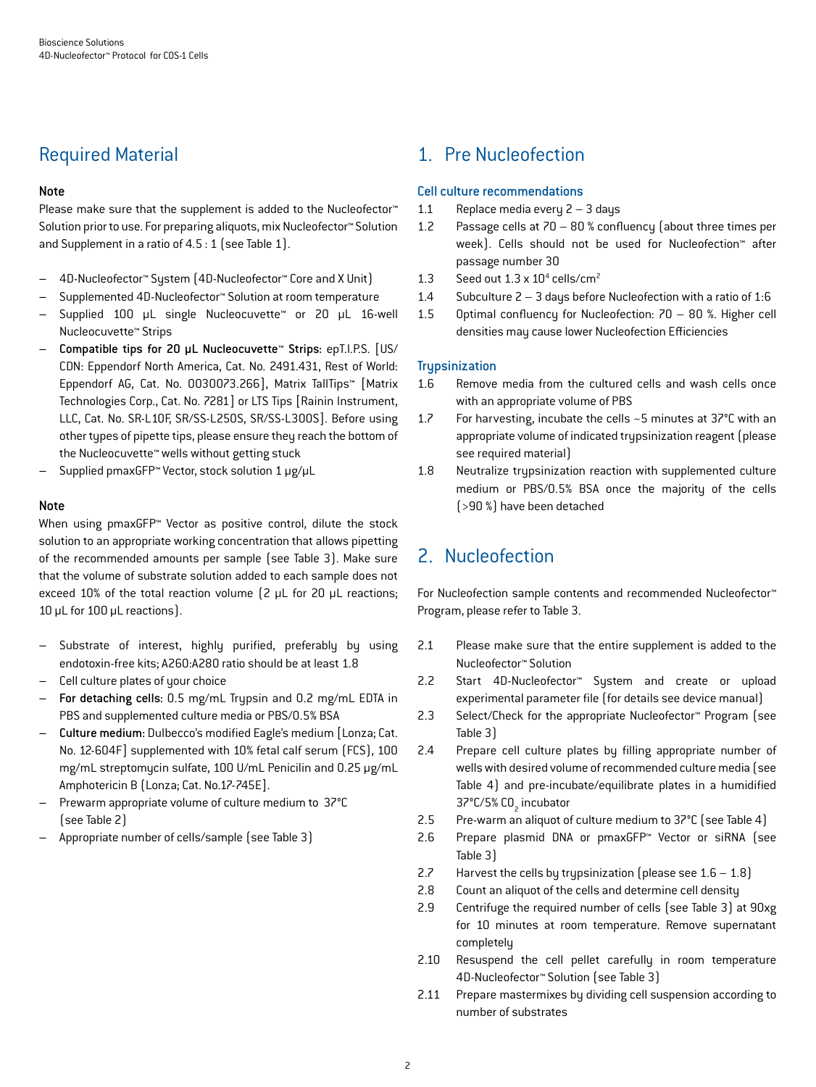# Required Material

### Note

Please make sure that the supplement is added to the Nucleofector<sup>™</sup> Solution prior to use. For preparing aliquots, mix Nucleofector™ Solution and Supplement in a ratio of 4.5 : 1 (see Table 1).

- 4D-Nucleofector™ System (4D-Nucleofector™ Core and X Unit)
- Supplemented 4D-Nucleofector™ Solution at room temperature
- Supplied 100 µL single Nucleocuvette™ or 20 µL 16-well Nucleocuvette™ Strips
- Compatible tips for 20 µL Nucleocuvette™ Strips: epT.I.P.S. [US/ CDN: Eppendorf North America, Cat. No. 2491.431, Rest of World: Eppendorf AG, Cat. No. 0030073.266], Matrix TallTips™ [Matrix Technologies Corp., Cat. No. 7281] or LTS Tips [Rainin Instrument, LLC, Cat. No. SR-L10F, SR/SS-L250S, SR/SS-L300S]. Before using other types of pipette tips, please ensure they reach the bottom of the Nucleocuvette™ wells without getting stuck
- Supplied pmaxGFP™ Vector, stock solution 1 μg/μL

### Note

When using pmaxGFP™ Vector as positive control, dilute the stock solution to an appropriate working concentration that allows pipetting of the recommended amounts per sample (see Table 3). Make sure that the volume of substrate solution added to each sample does not exceed 10% of the total reaction volume (2 μL for 20 μL reactions; 10 μL for 100 μL reactions).

- Substrate of interest, highly purified, preferably by using endotoxin-free kits; A260:A280 ratio should be at least 1.8
- Cell culture plates of your choice
- For detaching cells: 0.5 mg/mL Trypsin and 0.2 mg/mL EDTA in PBS and supplemented culture media or PBS/0.5% BSA
- Culture medium: Dulbecco's modified Eagle's medium [Lonza; Cat. No. 12-604F] supplemented with 10% fetal calf serum (FCS), 100 mg/mL streptomycin sulfate, 100 U/mL Penicilin and 0.25 µg/mL Amphotericin B (Lonza; Cat. No.17-745E].
- Prewarm appropriate volume of culture medium to 37°C (see Table 2)
- Appropriate number of cells/sample (see Table 3)

## 1. Pre Nucleofection

### Cell culture recommendations

- 1.1 Replace media every 2 3 days
- 1.2 Passage cells at 70 80 % confluency (about three times per week). Cells should not be used for Nucleofection™ after passage number 30
- 1.3 Seed out  $1.3 \times 10^4$  cells/cm<sup>2</sup>
- 1.4 Subculture 2 3 days before Nucleofection with a ratio of 1:6
- 1.5 Optimal confluency for Nucleofection: 70 80 %. Higher cell densities may cause lower Nucleofection Efficiencies

### **Trupsinization**

- 1.6 Remove media from the cultured cells and wash cells once with an appropriate volume of PBS
- 1.7 For harvesting, incubate the cells ~5 minutes at 37°C with an appropriate volume of indicated trypsinization reagent (please see required material)
- 1.8 Neutralize trypsinization reaction with supplemented culture medium or PBS/0.5% BSA once the majority of the cells (>90 %) have been detached

# 2. Nucleofection

For Nucleofection sample contents and recommended Nucleofector™ Program, please refer to Table 3.

- 2.1 Please make sure that the entire supplement is added to the Nucleofector™ Solution
- 2.2 Start 4D-Nucleofector™ System and create or upload experimental parameter file (for details see device manual)
- 2.3 Select/Check for the appropriate Nucleofector™ Program (see Table 3)
- 2.4 Prepare cell culture plates by filling appropriate number of wells with desired volume of recommended culture media (see Table 4) and pre-incubate/equilibrate plates in a humidified 37°C/5% CO<sub>2</sub> incubator
- 2.5 Pre-warm an aliquot of culture medium to 37°C (see Table 4)
- 2.6 Prepare plasmid DNA or pmaxGFP™ Vector or siRNA (see Table 3)
- 2.7 Harvest the cells by trypsinization (please see  $1.6 1.8$ )
- 2.8 Count an aliquot of the cells and determine cell density
- 2.9 Centrifuge the required number of cells (see Table 3) at 90xg for 10 minutes at room temperature. Remove supernatant completely
- 2.10 Resuspend the cell pellet carefully in room temperature 4D-Nucleofector™ Solution (see Table 3)
- 2.11 Prepare mastermixes by dividing cell suspension according to number of substrates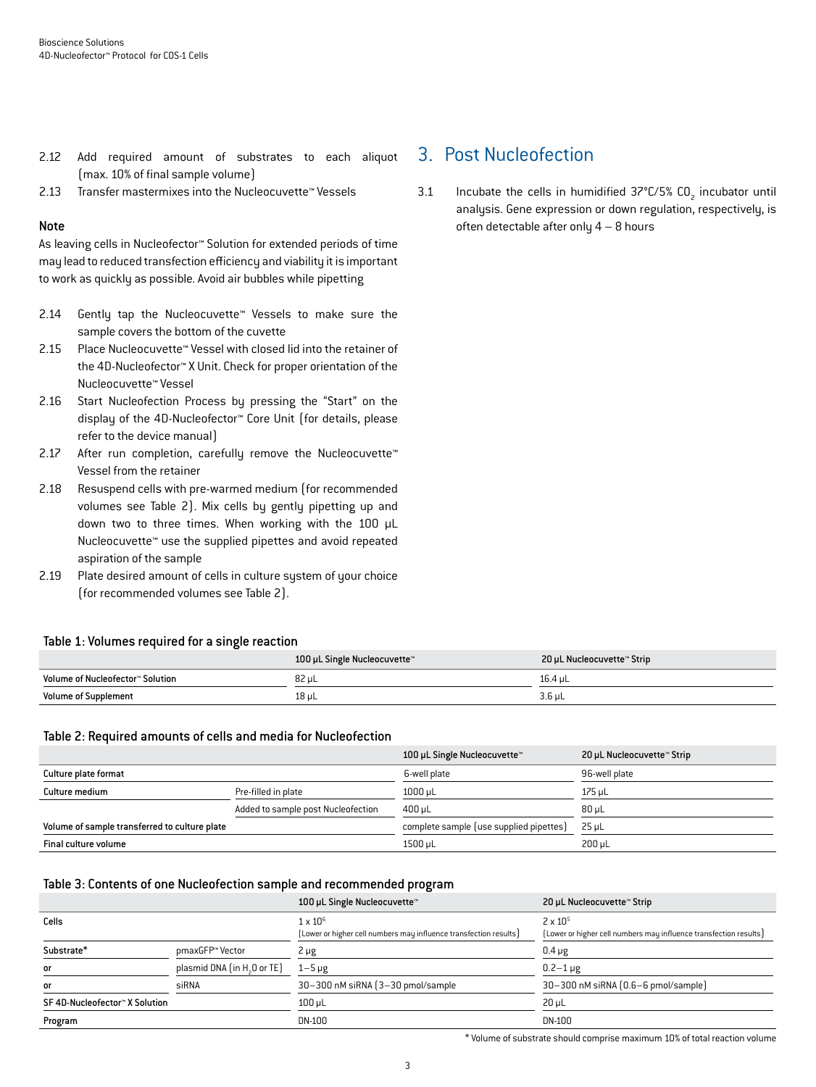- 2.12 Add required amount of substrates to each aliquot (max. 10% of final sample volume)
- 2.13 Transfer mastermixes into the Nucleocuvette™ Vessels

### Note

As leaving cells in Nucleofector™ Solution for extended periods of time may lead to reduced transfection efficiency and viability it is important to work as quickly as possible. Avoid air bubbles while pipetting

- 2.14 Gently tap the Nucleocuvette™ Vessels to make sure the sample covers the bottom of the cuvette
- 2.15 Place Nucleocuvette™ Vessel with closed lid into the retainer of the 4D-Nucleofector™ X Unit. Check for proper orientation of the Nucleocuvette™ Vessel
- 2.16 Start Nucleofection Process by pressing the "Start" on the display of the 4D-Nucleofector™ Core Unit (for details, please refer to the device manual)
- 2.17 After run completion, carefully remove the Nucleocuvette™ Vessel from the retainer
- 2.18 Resuspend cells with pre-warmed medium (for recommended volumes see Table 2). Mix cells by gently pipetting up and down two to three times. When working with the 100 µL Nucleocuvette™ use the supplied pipettes and avoid repeated aspiration of the sample
- 2.19 Plate desired amount of cells in culture system of your choice (for recommended volumes see Table 2).

### Table 1: Volumes required for a single reaction

### 100 µL Single Nucleocuvette™ 20 µL Nucleocuvette™ Strip Volume of Nucleofector™ Solution 82 µL 16.4 µL Volume of Supplement 2.6 pL 3.6 µL 3.6 µL 3.6 µL 3.6 µL 3.6 µL 3.6 µL 3.6 µL 3.6 µL 3.6 µL 3.6 µL 3.6 µL 3.6 µL 3.6 µL 3.7 µL 3.7 µL 3.7 µL 3.7 µL 3.8 µL 3.8 µL 3.8 µL 3.8 µL 3.8 µL 3.8 µL 3.8 µL 3.8 µL 3.8 µL 3.8 µL 3.8 µ

### Table 2: Required amounts of cells and media for Nucleofection

|                                               |                                    | 100 µL Single Nucleocuvette™            | 20 µL Nucleocuvette™ Strip |
|-----------------------------------------------|------------------------------------|-----------------------------------------|----------------------------|
| Culture plate format                          |                                    | 6-well plate                            | 96-well plate              |
| Culture medium                                | Pre-filled in plate                | $1000 \mu L$                            | 175 µL                     |
|                                               | Added to sample post Nucleofection | $400 \mu L$                             | $80 \mu L$                 |
| Volume of sample transferred to culture plate |                                    | complete sample (use supplied pipettes) | 25 uL                      |
| Final culture volume                          |                                    | 1500 uL                                 | 200 uL                     |

### Table 3: Contents of one Nucleofection sample and recommended program

|                                |                                         | 100 µL Single Nucleocuvette™                                                         | 20 µL Nucleocuvette™ Strip                                                             |
|--------------------------------|-----------------------------------------|--------------------------------------------------------------------------------------|----------------------------------------------------------------------------------------|
| Cells                          |                                         | $1 \times 10^6$<br>[Lower or higher cell numbers may influence transfection results] | $2 \times 10^{5}$<br>[Lower or higher cell numbers may influence transfection results] |
| Substrate*                     | pmaxGFP™ Vector                         | $2 \mu g$                                                                            | $0.4 \mu g$                                                                            |
| or                             | plasmid DNA (in H <sub>2</sub> 0 or TE) | $1-5 \mu g$                                                                          | $0.2 - 1 \mu$ g                                                                        |
| or                             | siRNA                                   | 30-300 nM siRNA (3-30 pmol/sample                                                    | 30-300 nM siRNA (0.6-6 pmol/sample)                                                    |
| SF 4D-Nucleofector™ X Solution |                                         | $100$ $\mu$ L                                                                        | $20 \mu L$                                                                             |
| Program                        |                                         | DN-100                                                                               | DN-100                                                                                 |

\* Volume of substrate should comprise maximum 10% of total reaction volume

### 3. Post Nucleofection

3.1 Incubate the cells in humidified  $37^{\circ}$ C/5% CO<sub>2</sub> incubator until analysis. Gene expression or down regulation, respectively, is often detectable after only  $4 - 8$  hours